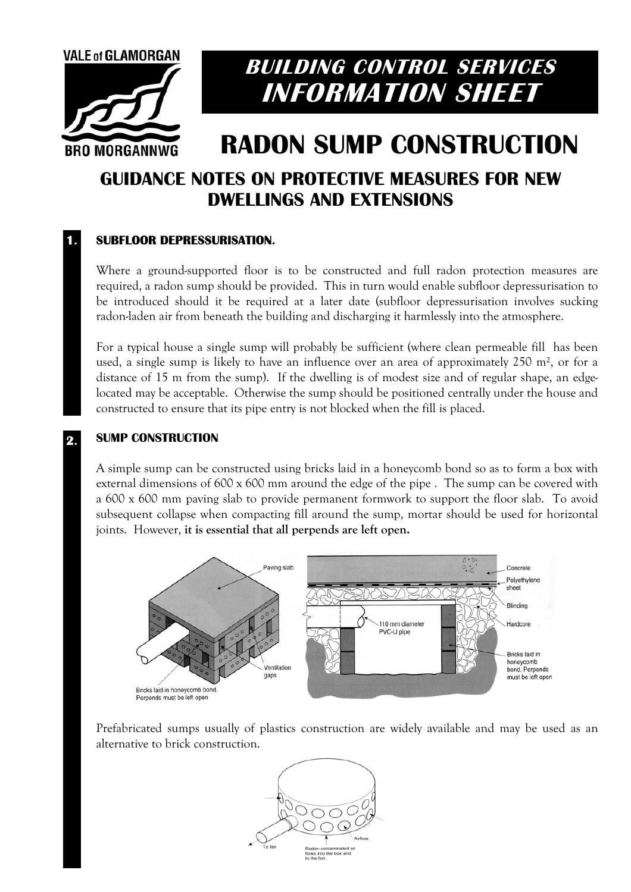

## **BUILDING CONTROL SERVICES INFORMATION SHEET**

# **RADON SUMP CONSTRUCTION**

### **GUIDANCE NOTES ON PROTECTIVE MEASURES FOR NEW DWELLINGS AND EXTENSIONS**

#### **SUBFLOOR DEPRESSURISATION. 1.**

Where a ground-supported floor is to be constructed and full radon protection measures are required, a radon sump should be provided. This in turn would enable subfloor depressurisation to be introduced should it be required at a later date (subfloor depressurisation involves sucking radon-laden air from beneath the building and discharging it harmlessly into the atmosphere.

For a typical house a single sump will probably be sufficient (where clean permeable fill has been used, a single sump is likely to have an influence over an area of approximately 250 m², or for a distance of 15 m from the sump). If the dwelling is of modest size and of regular shape, an edgelocated may be acceptable. Otherwise the sump should be positioned centrally under the house and constructed to ensure that its pipe entry is not blocked when the fill is placed.

#### **SUMP CONSTRUCTION 2.**

A simple sump can be constructed using bricks laid in a honeycomb bond so as to form a box with external dimensions of 600 x 600 mm around the edge of the pipe . The sump can be covered with a 600 x 600 mm paving slab to provide permanent formwork to support the floor slab. To avoid subsequent collapse when compacting fill around the sump, mortar should be used for horizontal joints. However, **it is essential that all perpends are left open.** 



Prefabricated sumps usually of plastics construction are widely available and may be used as an alternative to brick construction.